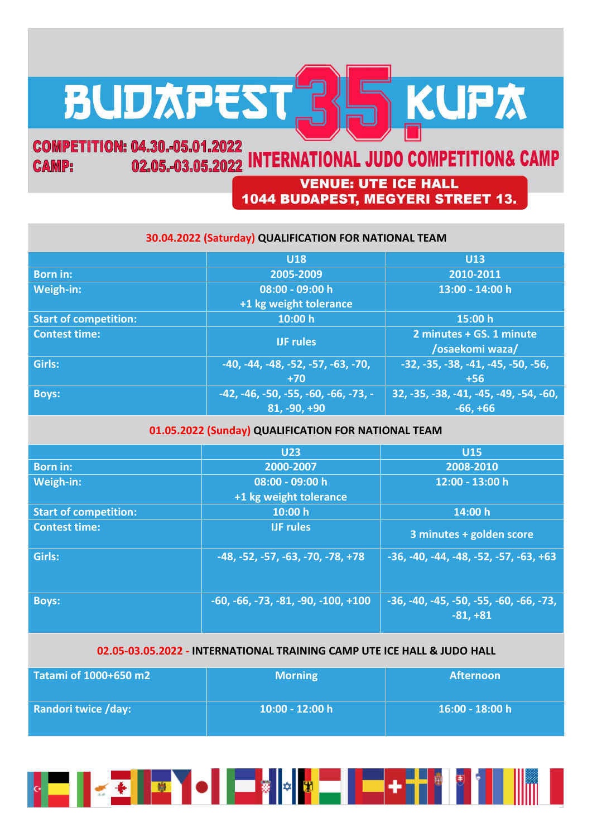# BUDAPEST 35 KUPA

## **COMPETITION: 04.30.-05.01.2022** 02.05.-03.05.2022 INTERNATIONAL JUDO COMPETITION& CAMP **CAMP:**

# **VENUE: UTE ICE HALL** 1044 BUDAPEST, MEGYERI STREET 13.

# **30.04.2022 (Saturday) QUALIFICATION FOR NATIONAL TEAM**

|                              | <b>U18</b>                             | <b>U13</b>                                  |
|------------------------------|----------------------------------------|---------------------------------------------|
| <b>Born in:</b>              | 2005-2009                              | 2010-2011                                   |
| Weigh-in:                    | 08:00 - 09:00 h                        | 13:00 - 14:00 h                             |
|                              | +1 kg weight tolerance                 |                                             |
| <b>Start of competition:</b> | 10:00 h                                | 15:00 h                                     |
| <b>Contest time:</b>         | <b>IJF</b> rules                       | 2 minutes + GS. 1 minute<br>/osaekomi waza/ |
| Girls:                       | $-40, -44, -48, -52, -57, -63, -70,$   | $-32, -35, -38, -41, -45, -50, -56,$        |
|                              | $+70$                                  | $+56$                                       |
| <b>Boys:</b>                 | $-42, -46, -50, -55, -60, -66, -73, -$ | 32, -35, -38, -41, -45, -49, -54, -60,      |
|                              | 81, -90, +90                           | $-66, +66$                                  |

# **01.05.2022 (Sunday) QUALIFICATION FOR NATIONAL TEAM**

|                              | <b>U23</b>                            | <b>U15</b>                                              |
|------------------------------|---------------------------------------|---------------------------------------------------------|
| <b>Born in:</b>              | 2000-2007                             | 2008-2010                                               |
| Weigh-in:                    | $08:00 - 09:00 h$                     | $12:00 - 13:00$ h                                       |
|                              | +1 kg weight tolerance                |                                                         |
| <b>Start of competition:</b> | 10:00 h                               | 14:00 h                                                 |
| <b>Contest time:</b>         | <b>IJF</b> rules                      | 3 minutes + golden score                                |
| Girls:                       | $-48, -52, -57, -63, -70, -78, +78$   | $-36, -40, -44, -48, -52, -57, -63, +63$                |
| <b>Boys:</b>                 | $-60, -66, -73, -81, -90, -100, +100$ | $-36, -40, -45, -50, -55, -60, -66, -73,$<br>$-81, +81$ |

# **02.05-03.05.2022 - INTERNATIONAL TRAINING CAMP UTE ICE HALL & JUDO HALL**

| Tatami of 1000+650 m2      | <b>Morning</b>    | <b>Afternoon</b> |
|----------------------------|-------------------|------------------|
| <b>Randori twice /day:</b> | $10:00 - 12:00$ h | 16:00 - 18:00 h  |